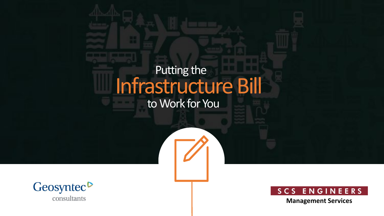### Infrastructure Bill Putting the

to Work for You





**Management Services**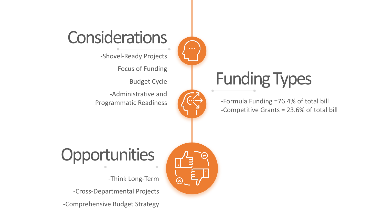#### **Considerations**

-Shovel-Ready Projects

-Focus of Funding

-Budget Cycle

-Administrative and Programmatic Readiness



 $\Omega$ 

### Funding Types

-Formula Funding =76.4% of total bill -Competitive Grants = 23.6% of total bill

### **Opportunities**

-Think Long-Term

-Cross-Departmental Projects

-Comprehensive Budget Strategy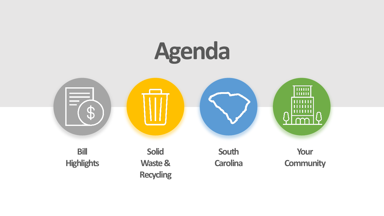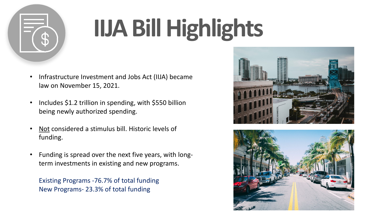

### **IIJA Bill Highlights**

- Infrastructure Investment and Jobs Act (IIJA) became law on November 15, 2021.
- Includes \$1.2 trillion in spending, with \$550 billion being newly authorized spending.
- Not considered a stimulus bill. Historic levels of funding.
- Funding is spread over the next five years, with longterm investments in existing and new programs.

Existing Programs -76.7% of total funding New Programs- 23.3% of total funding



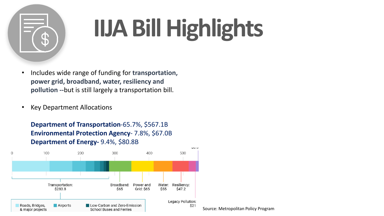

### **IIJA Bill Highlights**

- Includes wide range of funding for **transportation, power grid, broadband, water, resiliency and pollution --**but is still largely a transportation bill.
- Key Department Allocations

**Department of Transportation**-65.7%, \$567.1B **Environmental Protection Agency**- 7.8%, \$67.0B **Department of Energy-** 9.4%, \$80.8B

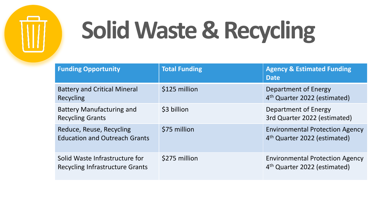

## **Solid Waste & Recycling**

| <b>Funding Opportunity</b>                                               | <b>Total Funding</b> | <b>Agency &amp; Estimated Funding</b><br><b>Date</b>                               |
|--------------------------------------------------------------------------|----------------------|------------------------------------------------------------------------------------|
| <b>Battery and Critical Mineral</b><br>Recycling                         | \$125 million        | Department of Energy<br>4 <sup>th</sup> Quarter 2022 (estimated)                   |
| <b>Battery Manufacturing and</b><br><b>Recycling Grants</b>              | \$3 billion          | Department of Energy<br>3rd Quarter 2022 (estimated)                               |
| Reduce, Reuse, Recycling<br><b>Education and Outreach Grants</b>         | \$75 million         | <b>Environmental Protection Agency</b><br>4 <sup>th</sup> Quarter 2022 (estimated) |
| Solid Waste Infrastructure for<br><b>Recycling Infrastructure Grants</b> | \$275 million        | <b>Environmental Protection Agency</b><br>4 <sup>th</sup> Quarter 2022 (estimated) |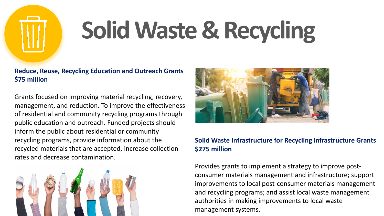

## **Solid Waste & Recycling**

#### **Reduce, Reuse, Recycling Education and Outreach Grants \$75 million**

Grants focused on improving material recycling, recovery, management, and reduction. To improve the effectiveness of residential and community recycling programs through public education and outreach. Funded projects should inform the public about residential or community recycling programs, provide information about the recycled materials that are accepted, increase collection rates and decrease contamination.





#### **Solid Waste Infrastructure for Recycling Infrastructure Grants \$275 million**

Provides grants to implement a strategy to improve postconsumer materials management and infrastructure; support improvements to local post-consumer materials management and recycling programs; and assist local waste management authorities in making improvements to local waste management systems.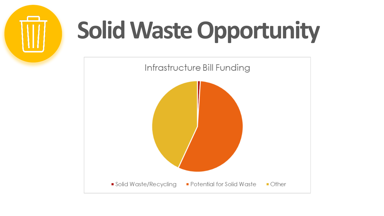

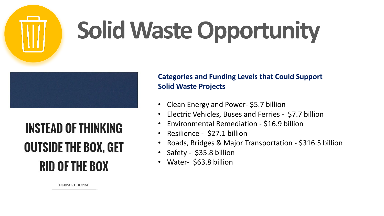

#### **INSTEAD OF THINKING OUTSIDE THE BOX, GET RID OF THE BOX**

**Categories and Funding Levels that Could Support Solid Waste Projects**

- Clean Energy and Power- \$5.7 billion
- Electric Vehicles, Buses and Ferries \$7.7 billion
- Environmental Remediation \$16.9 billion
- Resilience \$27.1 billion
- Roads, Bridges & Major Transportation \$316.5 billion
- Safety \$35.8 billion
- Water- \$63.8 billion

**DEEPAK CHOPRA**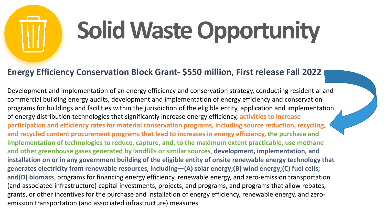#### **Energy Efficiency Conservation Block Grant- \$550 million, First release Fall 2022**

Development and implementation of an energy efficiency and conservation strategy, conducting residential and commercial building energy audits, development and implementation of energy efficiency and conservation programs for buildings and facilities within the jurisdiction of the eligible entity, application and implementation of energy distribution technologies that significantly increase energy efficiency, **activities to increase participation and efficiency rates for material conservation programs, including source reduction, recycling, and recycled content procurement programs that lead to increases in energy efficiency, the purchase and implementation of technologies to reduce, capture, and, to the maximum extent practicable, use methane and other greenhouse gases generated by landfills or similar sources**, **development, implementation, and installation on or in any government building of the eligible entity of onsite renewable energy technology that generates electricity from renewable resources, including—(A) solar energy;(B) wind energy;(C) fuel cells; and(D) biomass**, programs for financing energy efficiency, renewable energy, and zero-emission transportation (and associated infrastructure) capital investments, projects, and programs, and programs that allow rebates, grants, or other incentives for the purchase and installation of energy efficiency, renewable energy, and zeroemission transportation (and associated infrastructure) measures.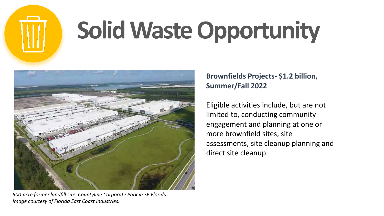



*500-acre former landfill site. Countyline Corporate Park in SE Florida. Image courtesy of Florida East Coast Industries.*

#### **Brownfields Projects- \$1.2 billion, Summer/Fall 2022**

Eligible activities include, but are not limited to, conducting community engagement and planning at one or more brownfield sites, site assessments, site cleanup planning and direct site cleanup.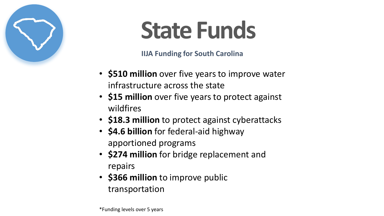

### **State Funds**

**IIJA Funding for South Carolina**

- **\$510 million** over five years to improve water infrastructure across the state
- **\$15 million** over five years to protect against wildfires
- **\$18.3 million** to protect against cyberattacks
- **\$4.6 billion** for federal-aid highway apportioned programs
- **\$274 million** for bridge replacement and repairs
- **\$366 million** to improve public transportation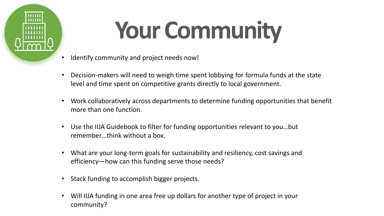

## **Your Community**

- Identify community and project needs now!
- Decision-makers will need to weigh time spent lobbying for formula funds at the state level and time spent on competitive grants directly to local government.
- Work collaboratively across departments to determine funding opportunities that benefit more than one function.
- Use the IIJA Guidebook to filter for funding opportunities relevant to you…but remember…think without a box.
- What are your long-term goals for sustainability and resiliency, cost savings and efficiency—how can this funding serve those needs?
- Stack funding to accomplish bigger projects.
- Will IIJA funding in one area free up dollars for another type of project in your community?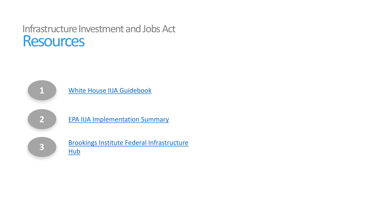#### Infrastructure Investment and Jobs Act **Resources**